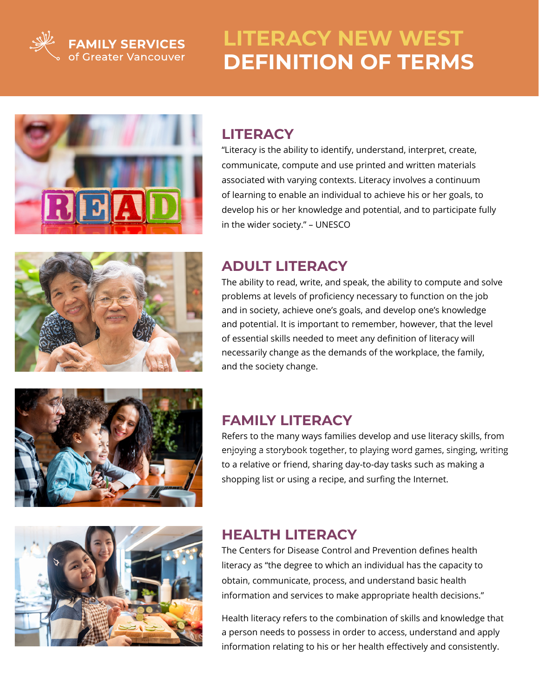

**FAMILY SERVICES**<br>of Greater Vancouver

# **LITERACY NEW WEST DEFINITION OF TERMS**



## **LITERACY**

"Literacy is the ability to identify, understand, interpret, create, communicate, compute and use printed and written materials associated with varying contexts. Literacy involves a continuum of learning to enable an individual to achieve his or her goals, to develop his or her knowledge and potential, and to participate fully in the wider society." – UNESCO



# **ADULT LITERACY**

The ability to read, write, and speak, the ability to compute and solve problems at levels of proficiency necessary to function on the job and in society, achieve one's goals, and develop one's knowledge and potential. It is important to remember, however, that the level of essential skills needed to meet any definition of literacy will necessarily change as the demands of the workplace, the family, and the society change.



## **FAMILY LITERACY**

Refers to the many ways families develop and use literacy skills, from enjoying a storybook together, to playing word games, singing, writing to a relative or friend, sharing day-to-day tasks such as making a shopping list or using a recipe, and surfing the Internet.



#### **HEALTH LITERACY**

The Centers for Disease Control and Prevention defines health literacy as "the degree to which an individual has the capacity to obtain, communicate, process, and understand basic health information and services to make appropriate health decisions."

Health literacy refers to the combination of skills and knowledge that a person needs to possess in order to access, understand and apply information relating to his or her health effectively and consistently.